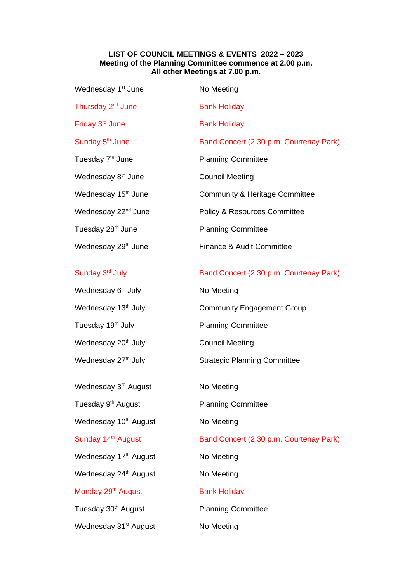## **LIST OF COUNCIL MEETINGS & EVENTS 2022 – 2023 Meeting of the Planning Committee commence at 2.00 p.m. All other Meetings at 7.00 p.m.**

| Wednesday 1st June                | No Meeting                                |
|-----------------------------------|-------------------------------------------|
| Thursday 2 <sup>nd</sup> June     | <b>Bank Holiday</b>                       |
| Friday 3 <sup>rd</sup> June       | <b>Bank Holiday</b>                       |
| Sunday 5 <sup>th</sup> June       | Band Concert (2.30 p.m. Courtenay Park)   |
| Tuesday 7 <sup>th</sup> June      | <b>Planning Committee</b>                 |
| Wednesday 8 <sup>th</sup> June    | <b>Council Meeting</b>                    |
| Wednesday 15 <sup>th</sup> June   | <b>Community &amp; Heritage Committee</b> |
| Wednesday 22 <sup>nd</sup> June   | Policy & Resources Committee              |
| Tuesday 28 <sup>th</sup> June     | <b>Planning Committee</b>                 |
| Wednesday 29 <sup>th</sup> June   | Finance & Audit Committee                 |
| Sunday 3 <sup>rd</sup> July       | Band Concert (2.30 p.m. Courtenay Park)   |
| Wednesday 6 <sup>th</sup> July    | No Meeting                                |
| Wednesday 13 <sup>th</sup> July   | <b>Community Engagement Group</b>         |
| Tuesday 19 <sup>th</sup> July     | <b>Planning Committee</b>                 |
| Wednesday 20 <sup>th</sup> July   | <b>Council Meeting</b>                    |
| Wednesday 27 <sup>th</sup> July   | <b>Strategic Planning Committee</b>       |
| Wednesday 3 <sup>rd</sup> August  | No Meeting                                |
| Tuesday 9 <sup>th</sup> August    | <b>Planning Committee</b>                 |
| Wednesday 10 <sup>th</sup> August | No Meeting                                |
| Sunday 14 <sup>th</sup> August    | Band Concert (2.30 p.m. Courtenay Park)   |
| Wednesday 17 <sup>th</sup> August | No Meeting                                |
| Wednesday 24 <sup>th</sup> August | No Meeting                                |
| Monday 29 <sup>th</sup> August    | <b>Bank Holiday</b>                       |
| Tuesday 30 <sup>th</sup> August   | <b>Planning Committee</b>                 |
| Wednesday 31st August             | No Meeting                                |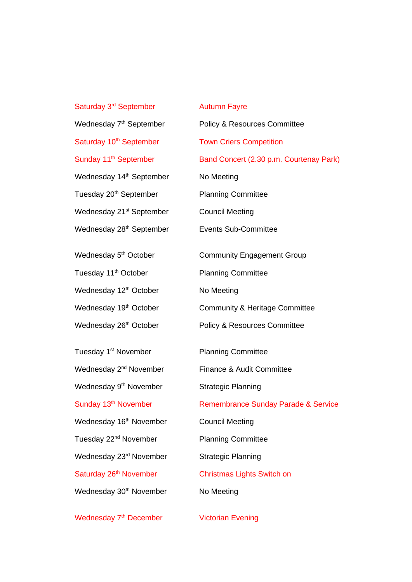Saturday 3<sup>rd</sup> September **Autumn Fayre** Wednesday 7<sup>th</sup> September Saturday 10<sup>th</sup> September Town Criers Competition Wednesday 14<sup>th</sup> September No Meeting Tuesday 20<sup>th</sup> September Planning Committee Wednesday 21<sup>st</sup> September Council Meeting Wednesday 28<sup>th</sup> September **Events Sub-Committee** Wednesday 5<sup>th</sup> October Tuesday 11<sup>th</sup> October Planning Committee Wednesday 12<sup>th</sup> October No Meeting Tuesday 1<sup>st</sup> November Wednesday 2<sup>nd</sup> November Wednesday 9<sup>th</sup> November Wednesday 16<sup>th</sup> November Council Meeting Tuesday 22<sup>nd</sup> November Planning Committee

Policy & Resources Committee Sunday 11<sup>th</sup> September Band Concert (2.30 p.m. Courtenay Park) Community Engagement Group Wednesday 19<sup>th</sup> October Community & Heritage Committee Wednesday 26<sup>th</sup> October **Policy & Resources Committee** Planning Committee Finance & Audit Committee Strategic Planning Sunday 13<sup>th</sup> November Remembrance Sunday Parade & Service Wednesday 23<sup>rd</sup> November Strategic Planning Saturday 26<sup>th</sup> November Christmas Lights Switch on Wednesday 30<sup>th</sup> November No Meeting

Victorian Evening

## Wednesday 7<sup>th</sup> December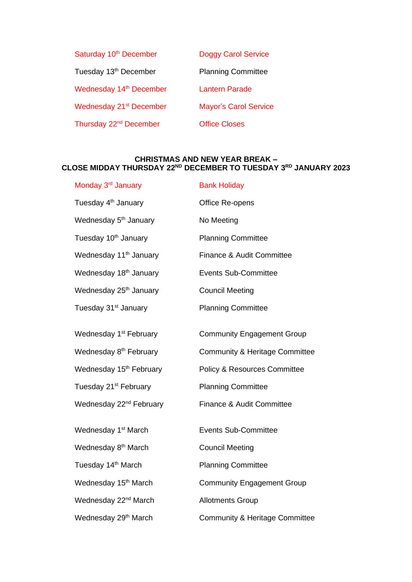| Saturday 10 <sup>th</sup> December  | <b>Doggy Carol Service</b>   |
|-------------------------------------|------------------------------|
| Tuesday 13 <sup>th</sup> December   | <b>Planning Committee</b>    |
| Wednesday 14 <sup>th</sup> December | <b>Lantern Parade</b>        |
| Wednesday 21 <sup>st</sup> December | <b>Mayor's Carol Service</b> |
| Thursday 22 <sup>nd</sup> December  | <b>Office Closes</b>         |

## **CHRISTMAS AND NEW YEAR BREAK – CLOSE MIDDAY THURSDAY 22ND DECEMBER TO TUESDAY 3RD JANUARY 2023**

| Monday 3 <sup>rd</sup> January      | <b>Bank Holiday</b>                       |
|-------------------------------------|-------------------------------------------|
| Tuesday 4 <sup>th</sup> January     | Office Re-opens                           |
| Wednesday 5 <sup>th</sup> January   | No Meeting                                |
| Tuesday 10 <sup>th</sup> January    | <b>Planning Committee</b>                 |
| Wednesday 11 <sup>th</sup> January  | Finance & Audit Committee                 |
| Wednesday 18 <sup>th</sup> January  | <b>Events Sub-Committee</b>               |
| Wednesday 25 <sup>th</sup> January  | <b>Council Meeting</b>                    |
| Tuesday 31 <sup>st</sup> January    | <b>Planning Committee</b>                 |
| Wednesday 1 <sup>st</sup> February  | <b>Community Engagement Group</b>         |
| Wednesday 8 <sup>th</sup> February  | <b>Community &amp; Heritage Committee</b> |
| Wednesday 15 <sup>th</sup> February | <b>Policy &amp; Resources Committee</b>   |
| Tuesday 21 <sup>st</sup> February   | <b>Planning Committee</b>                 |
| Wednesday 22 <sup>nd</sup> February | Finance & Audit Committee                 |
| Wednesday 1 <sup>st</sup> March     | <b>Events Sub-Committee</b>               |
| Wednesday 8 <sup>th</sup> March     | <b>Council Meeting</b>                    |
| Tuesday 14 <sup>th</sup> March      | <b>Planning Committee</b>                 |
| Wednesday 15 <sup>th</sup> March    | <b>Community Engagement Group</b>         |
| Wednesday 22 <sup>nd</sup> March    | <b>Allotments Group</b>                   |
| Wednesday 29 <sup>th</sup> March    | <b>Community &amp; Heritage Committee</b> |